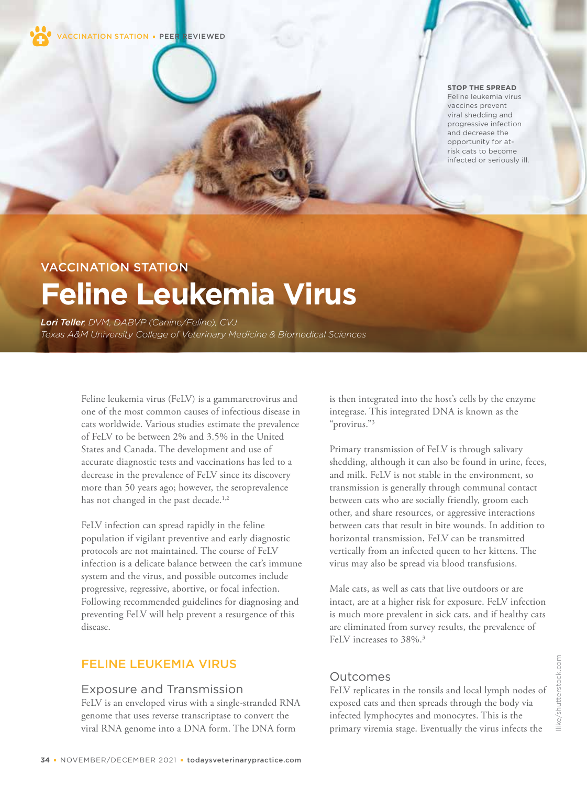

#### **STOP THE SPREAD**

Feline leukemia virus vaccines prevent viral shedding and progressive infection and decrease the opportunity for atrisk cats to become infected or seriously ill.

# VACCINATION STATION **Feline Leukemia Virus**

*Lori Teller, DVM, DABVP (Canine/Feline), CVJ Texas A&M University College of Veterinary Medicine & Biomedical Sciences*

> Feline leukemia virus (FeLV) is a gammaretrovirus and one of the most common causes of infectious disease in cats worldwide. Various studies estimate the prevalence of FeLV to be between 2% and 3.5% in the United States and Canada. The development and use of accurate diagnostic tests and vaccinations has led to a decrease in the prevalence of FeLV since its discovery more than 50 years ago; however, the seroprevalence has not changed in the past decade.<sup>1,2</sup>

> FeLV infection can spread rapidly in the feline population if vigilant preventive and early diagnostic protocols are not maintained. The course of FeLV infection is a delicate balance between the cat's immune system and the virus, and possible outcomes include progressive, regressive, abortive, or focal infection. Following recommended guidelines for diagnosing and preventing FeLV will help prevent a resurgence of this disease.

# FELINE LEUKEMIA VIRUS

### Exposure and Transmission

FeLV is an enveloped virus with a single-stranded RNA genome that uses reverse transcriptase to convert the viral RNA genome into a DNA form. The DNA form

is then integrated into the host's cells by the enzyme integrase. This integrated DNA is known as the "provirus."3

Primary transmission of FeLV is through salivary shedding, although it can also be found in urine, feces, and milk. FeLV is not stable in the environment, so transmission is generally through communal contact between cats who are socially friendly, groom each other, and share resources, or aggressive interactions between cats that result in bite wounds. In addition to horizontal transmission, FeLV can be transmitted vertically from an infected queen to her kittens. The virus may also be spread via blood transfusions.

Male cats, as well as cats that live outdoors or are intact, are at a higher risk for exposure. FeLV infection is much more prevalent in sick cats, and if healthy cats are eliminated from survey results, the prevalence of FeLV increases to 38%.<sup>3</sup>

## Outcomes

FeLV replicates in the tonsils and local lymph nodes of exposed cats and then spreads through the body via infected lymphocytes and monocytes. This is the primary viremia stage. Eventually the virus infects the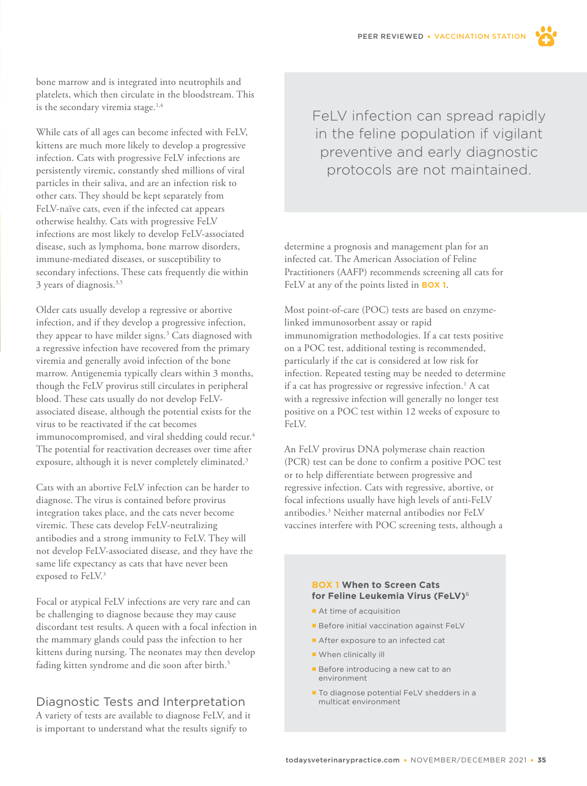

bone marrow and is integrated into neutrophils and platelets, which then circulate in the bloodstream. This is the secondary viremia stage. $1,4$ 

While cats of all ages can become infected with FeLV, kittens are much more likely to develop a progressive infection. Cats with progressive FeLV infections are persistently viremic, constantly shed millions of viral particles in their saliva, and are an infection risk to other cats. They should be kept separately from FeLV-naïve cats, even if the infected cat appears otherwise healthy. Cats with progressive FeLV infections are most likely to develop FeLV-associated disease, such as lymphoma, bone marrow disorders, immune-mediated diseases, or susceptibility to secondary infections. These cats frequently die within 3 years of diagnosis.3,5

Older cats usually develop a regressive or abortive infection, and if they develop a progressive infection, they appear to have milder signs.3 Cats diagnosed with a regressive infection have recovered from the primary viremia and generally avoid infection of the bone marrow. Antigenemia typically clears within 3 months, though the FeLV provirus still circulates in peripheral blood. These cats usually do not develop FeLVassociated disease, although the potential exists for the virus to be reactivated if the cat becomes immunocompromised, and viral shedding could recur.<sup>4</sup> The potential for reactivation decreases over time after exposure, although it is never completely eliminated.<sup>3</sup>

Cats with an abortive FeLV infection can be harder to diagnose. The virus is contained before provirus integration takes place, and the cats never become viremic. These cats develop FeLV-neutralizing antibodies and a strong immunity to FeLV. They will not develop FeLV-associated disease, and they have the same life expectancy as cats that have never been exposed to FeLV.<sup>3</sup>

Focal or atypical FeLV infections are very rare and can be challenging to diagnose because they may cause discordant test results. A queen with a focal infection in the mammary glands could pass the infection to her kittens during nursing. The neonates may then develop fading kitten syndrome and die soon after birth.<sup>5</sup>

# Diagnostic Tests and Interpretation

A variety of tests are available to diagnose FeLV, and it is important to understand what the results signify to

FeLV infection can spread rapidly in the feline population if vigilant preventive and early diagnostic protocols are not maintained.

determine a prognosis and management plan for an infected cat. The American Association of Feline Practitioners (AAFP) recommends screening all cats for FeLV at any of the points listed in **BOX 1**.

Most point-of-care (POC) tests are based on enzymelinked immunosorbent assay or rapid immunomigration methodologies. If a cat tests positive on a POC test, additional testing is recommended, particularly if the cat is considered at low risk for infection. Repeated testing may be needed to determine if a cat has progressive or regressive infection.<sup>1</sup> A cat with a regressive infection will generally no longer test positive on a POC test within 12 weeks of exposure to FeLV.

An FeLV provirus DNA polymerase chain reaction (PCR) test can be done to confirm a positive POC test or to help differentiate between progressive and regressive infection. Cats with regressive, abortive, or focal infections usually have high levels of anti-FeLV antibodies.3 Neither maternal antibodies nor FeLV vaccines interfere with POC screening tests, although a

#### **BOX 1 When to Screen Cats for Feline Leukemia Virus (FeLV)**<sup>6</sup>

- At time of acquisition
- **Before initial vaccination against FeLV**
- After exposure to an infected cat
- **When clinically ill**
- **Before introducing a new cat to an** environment
- To diagnose potential FeLV shedders in a multicat environment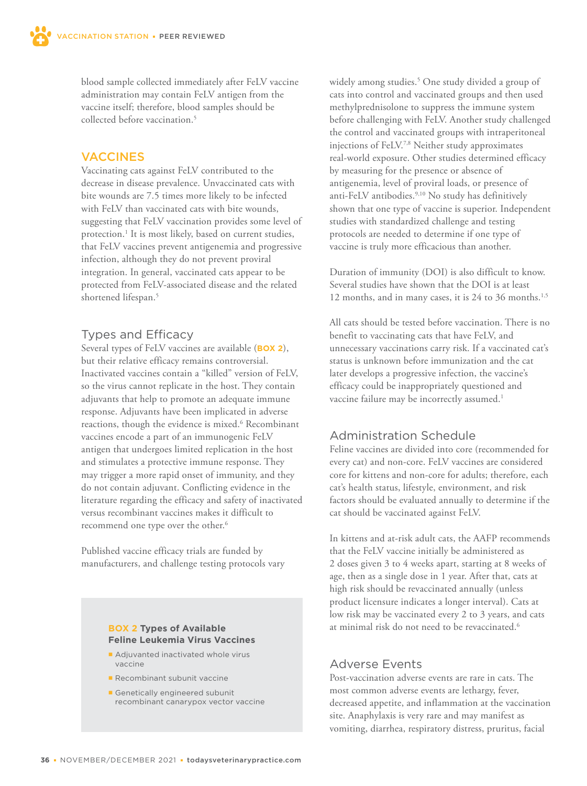blood sample collected immediately after FeLV vaccine administration may contain FeLV antigen from the vaccine itself; therefore, blood samples should be collected before vaccination.<sup>5</sup>

## VACCINES

Vaccinating cats against FeLV contributed to the decrease in disease prevalence. Unvaccinated cats with bite wounds are 7.5 times more likely to be infected with FeLV than vaccinated cats with bite wounds, suggesting that FeLV vaccination provides some level of protection.<sup>1</sup> It is most likely, based on current studies, that FeLV vaccines prevent antigenemia and progressive infection, although they do not prevent proviral integration. In general, vaccinated cats appear to be protected from FeLV-associated disease and the related shortened lifespan.<sup>5</sup>

## Types and Efficacy

Several types of FeLV vaccines are available (**BOX 2**), but their relative efficacy remains controversial. Inactivated vaccines contain a "killed" version of FeLV, so the virus cannot replicate in the host. They contain adjuvants that help to promote an adequate immune response. Adjuvants have been implicated in adverse reactions, though the evidence is mixed.<sup>6</sup> Recombinant vaccines encode a part of an immunogenic FeLV antigen that undergoes limited replication in the host and stimulates a protective immune response. They may trigger a more rapid onset of immunity, and they do not contain adjuvant. Conflicting evidence in the literature regarding the efficacy and safety of inactivated versus recombinant vaccines makes it difficult to recommend one type over the other.<sup>6</sup>

Published vaccine efficacy trials are funded by manufacturers, and challenge testing protocols vary

#### **BOX 2 Types of Available Feline Leukemia Virus Vaccines**

- Adjuvanted inactivated whole virus vaccine
- **Recombinant subunit vaccine**
- Genetically engineered subunit recombinant canarypox vector vaccine

widely among studies.5 One study divided a group of cats into control and vaccinated groups and then used methylprednisolone to suppress the immune system before challenging with FeLV. Another study challenged the control and vaccinated groups with intraperitoneal injections of FeLV.7,8 Neither study approximates real-world exposure. Other studies determined efficacy by measuring for the presence or absence of antigenemia, level of proviral loads, or presence of anti-FeLV antibodies.<sup>9,10</sup> No study has definitively shown that one type of vaccine is superior. Independent studies with standardized challenge and testing protocols are needed to determine if one type of vaccine is truly more efficacious than another.

Duration of immunity (DOI) is also difficult to know. Several studies have shown that the DOI is at least 12 months, and in many cases, it is 24 to 36 months.<sup>1,5</sup>

All cats should be tested before vaccination. There is no benefit to vaccinating cats that have FeLV, and unnecessary vaccinations carry risk. If a vaccinated cat's status is unknown before immunization and the cat later develops a progressive infection, the vaccine's efficacy could be inappropriately questioned and vaccine failure may be incorrectly assumed.<sup>1</sup>

# Administration Schedule

Feline vaccines are divided into core (recommended for every cat) and non-core. FeLV vaccines are considered core for kittens and non-core for adults; therefore, each cat's health status, lifestyle, environment, and risk factors should be evaluated annually to determine if the cat should be vaccinated against FeLV.

In kittens and at-risk adult cats, the AAFP recommends that the FeLV vaccine initially be administered as 2 doses given 3 to 4 weeks apart, starting at 8 weeks of age, then as a single dose in 1 year. After that, cats at high risk should be revaccinated annually (unless product licensure indicates a longer interval). Cats at low risk may be vaccinated every 2 to 3 years, and cats at minimal risk do not need to be revaccinated.6

## Adverse Events

Post-vaccination adverse events are rare in cats. The most common adverse events are lethargy, fever, decreased appetite, and inflammation at the vaccination site. Anaphylaxis is very rare and may manifest as vomiting, diarrhea, respiratory distress, pruritus, facial